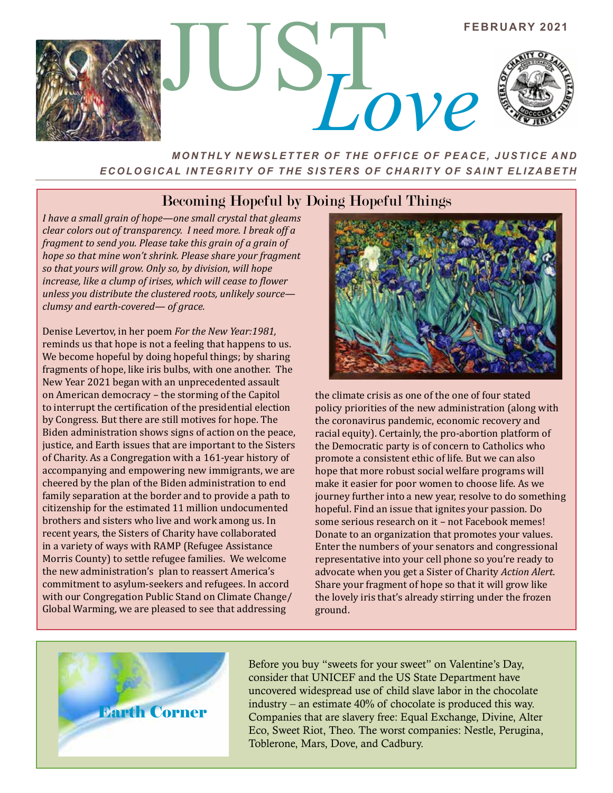

## *MONTHLY NEWSLETTER OF THE OFFICE OF PEACE, JUSTICE AND ECOLOGICAL INTEGRITY OF THE SISTERS OF CHARITY OF SAINT ELIZABETH*

## Becoming Hopeful by Doing Hopeful Things

*I have a small grain of hope—one small crystal that gleams clear colors out of transparency. I need more. I break off a fragment to send you. Please take this grain of a grain of hope so that mine won't shrink. Please share your fragment so that yours will grow. Only so, by division, will hope increase, like a clump of irises, which will cease to flower unless you distribute the clustered roots, unlikely source clumsy and earth-covered— of grace.*

Denise Levertov, in her poem *For the New Year:1981,*  reminds us that hope is not a feeling that happens to us. We become hopeful by doing hopeful things; by sharing fragments of hope, like iris bulbs, with one another. The New Year 2021 began with an unprecedented assault on American democracy – the storming of the Capitol to interrupt the certification of the presidential election by Congress. But there are still motives for hope. The Biden administration shows signs of action on the peace, justice, and Earth issues that are important to the Sisters of Charity. As a Congregation with a 161-year history of accompanying and empowering new immigrants, we are cheered by the plan of the Biden administration to end family separation at the border and to provide a path to citizenship for the estimated 11 million undocumented brothers and sisters who live and work among us. In recent years, the Sisters of Charity have collaborated in a variety of ways with RAMP (Refugee Assistance Morris County) to settle refugee families. We welcome the new administration's plan to reassert America's commitment to asylum-seekers and refugees. In accord with our Congregation Public Stand on Climate Change/ Global Warming, we are pleased to see that addressing



the climate crisis as one of the one of four stated policy priorities of the new administration (along with the coronavirus pandemic, economic recovery and racial equity). Certainly, the pro-abortion platform of the Democratic party is of concern to Catholics who promote a consistent ethic of life. But we can also hope that more robust social welfare programs will make it easier for poor women to choose life. As we journey further into a new year, resolve to do something hopeful. Find an issue that ignites your passion. Do some serious research on it – not Facebook memes! Donate to an organization that promotes your values. Enter the numbers of your senators and congressional representative into your cell phone so you're ready to advocate when you get a Sister of Charity *Action Alert*. Share your fragment of hope so that it will grow like the lovely iris that's already stirring under the frozen ground.



Before you buy "sweets for your sweet" on Valentine's Day, consider that UNICEF and the US State Department have uncovered widespread use of child slave labor in the chocolate industry – an estimate 40% of chocolate is produced this way. Companies that are slavery free: Equal Exchange, Divine, Alter Eco, Sweet Riot, Theo. The worst companies: Nestle, Perugina, Toblerone, Mars, Dove, and Cadbury.